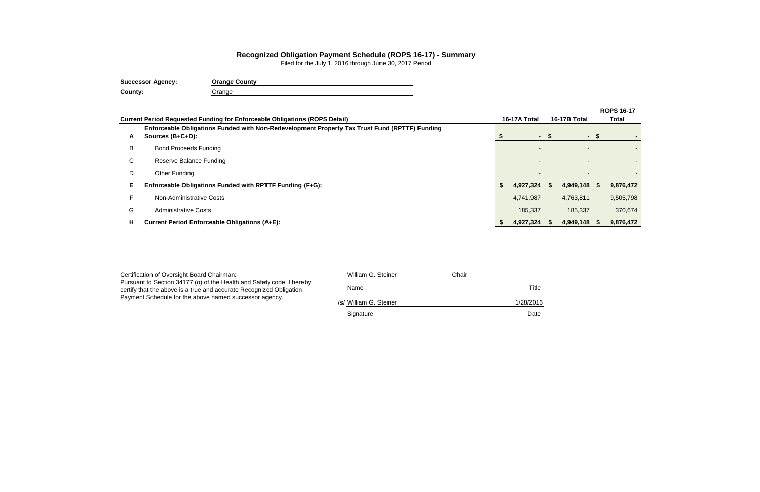|    | <b>Current Period Requested Funding for Enforceable Obligations (ROPS Detail)</b>                                 | 16-17A Total |      | 16-17B Total | <b>ROPS 16-17</b><br>Total |           |  |
|----|-------------------------------------------------------------------------------------------------------------------|--------------|------|--------------|----------------------------|-----------|--|
| A  | Enforceable Obligations Funded with Non-Redevelopment Property Tax Trust Fund (RPTTF) Funding<br>Sources (B+C+D): | $\sim$       | - \$ | $\sim$       | - SS                       |           |  |
| B  | <b>Bond Proceeds Funding</b>                                                                                      |              |      |              |                            |           |  |
| C  | Reserve Balance Funding                                                                                           |              |      |              |                            |           |  |
| D  | Other Funding                                                                                                     |              |      |              |                            |           |  |
| Е  | Enforceable Obligations Funded with RPTTF Funding (F+G):                                                          | 4,927,324    | - 55 | 4,949,148    | - 56                       | 9,876,472 |  |
| E. | Non-Administrative Costs                                                                                          | 4,741,987    |      | 4,763,811    |                            | 9,505,798 |  |
| G  | <b>Administrative Costs</b>                                                                                       | 185,337      |      | 185,337      |                            | 370,674   |  |
| н  | <b>Current Period Enforceable Obligations (A+E):</b>                                                              | 4,927,324    |      | 4,949,148    | - \$                       | 9,876,472 |  |

## **Recognized Obligation Payment Schedule (ROPS 16-17) - Summary**

Filed for the July 1, 2016 through June 30, 2017 Period

| <b>Successor Agency:</b> | <b>Orange County</b> |
|--------------------------|----------------------|
| County:                  | Orange               |

| Certification of Oversight Board Chairman:                                                                                                   | William G. Steiner     | Chair |           |
|----------------------------------------------------------------------------------------------------------------------------------------------|------------------------|-------|-----------|
| Pursuant to Section 34177 (o) of the Health and Safety code, I hereby<br>certify that the above is a true and accurate Recognized Obligation | Name                   |       | Title     |
| Payment Schedule for the above named successor agency.                                                                                       | /s/ William G. Steiner |       | 1/28/2016 |
|                                                                                                                                              | Signature              |       | Date      |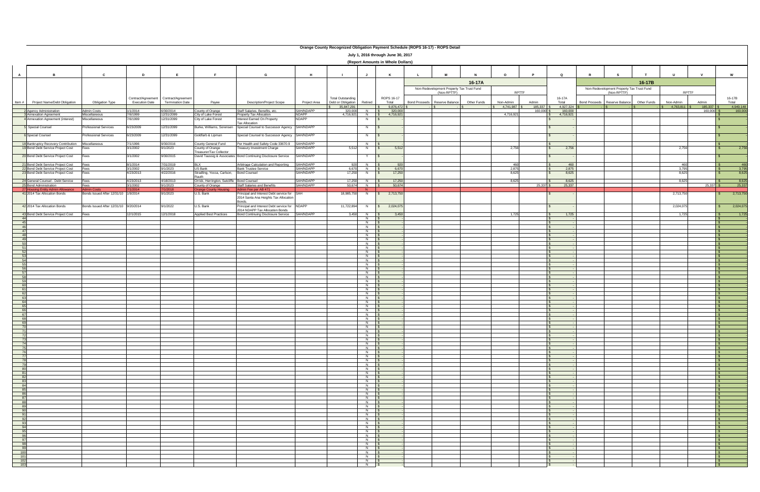|                                                                                        |                                                   |                                             |                                               |                                                     |                                                                    |                              | Orange County Recognized Obligation Payment Schedule (ROPS 16-17) - ROPS Detail |                                                                 |                                    |                      |                                           |             |              |              |                    |   |                                           |             |                              |                                     |
|----------------------------------------------------------------------------------------|---------------------------------------------------|---------------------------------------------|-----------------------------------------------|-----------------------------------------------------|--------------------------------------------------------------------|------------------------------|---------------------------------------------------------------------------------|-----------------------------------------------------------------|------------------------------------|----------------------|-------------------------------------------|-------------|--------------|--------------|--------------------|---|-------------------------------------------|-------------|------------------------------|-------------------------------------|
|                                                                                        |                                                   |                                             |                                               |                                                     |                                                                    |                              |                                                                                 |                                                                 | July 1, 2016 through June 30, 2017 |                      |                                           |             |              |              |                    |   |                                           |             |                              |                                     |
|                                                                                        |                                                   |                                             |                                               |                                                     |                                                                    |                              |                                                                                 |                                                                 | (Report Amounts in Whole Dollars)  |                      |                                           |             |              |              |                    |   |                                           |             |                              |                                     |
|                                                                                        |                                                   |                                             |                                               |                                                     |                                                                    |                              |                                                                                 |                                                                 |                                    |                      |                                           |             |              |              |                    |   |                                           |             |                              |                                     |
| $\overline{A}$<br>B.                                                                   | C                                                 | D                                           | E                                             | F                                                   | G                                                                  | H                            | $\blacksquare$                                                                  | J                                                               | K                                  |                      | M                                         |             | $\Omega$     |              | $\mathbf Q$        | R |                                           |             | $\mathbf{u}$<br>$\mathbf{v}$ | W                                   |
|                                                                                        |                                                   |                                             |                                               |                                                     |                                                                    |                              |                                                                                 |                                                                 |                                    |                      |                                           | 16-17A      |              |              |                    |   |                                           | 16-17B      |                              |                                     |
|                                                                                        |                                                   |                                             |                                               |                                                     |                                                                    |                              |                                                                                 |                                                                 |                                    |                      | Non-Redevelopment Property Tax Trust Fund |             |              |              |                    |   | Non-Redevelopment Property Tax Trust Fund |             |                              |                                     |
|                                                                                        |                                                   |                                             |                                               |                                                     |                                                                    |                              |                                                                                 |                                                                 |                                    |                      | (Non-RPTTF)                               |             |              | <b>RPTTF</b> |                    |   | (Non-RPTTF)                               |             | RPTTF                        |                                     |
|                                                                                        |                                                   | Contract/Agreement<br><b>Execution Date</b> | Contract/Agreement<br><b>Termination Date</b> |                                                     | <b>Description/Project Scope</b>                                   |                              | <b>Total Outstanding</b><br>Debt or Obligation                                  | Retired                                                         | ROPS 16-17                         |                      |                                           | Other Funds | Non-Admin    | Admin        | 16-17A             |   |                                           | Other Funds | Admin                        | 16-17B                              |
| Project Name/Debt Obligation<br>Item #                                                 | <b>Obligation Type</b>                            |                                             |                                               | Payee                                               |                                                                    | Project Area                 | 35,847,291                                                                      |                                                                 | Total<br>9,876,472                 | <b>Bond Proceeds</b> | Reserve Balance                           |             | 4,741,987    | 185,337      | Total<br>4,927,324 |   | Bond Proceeds Reserve Balance             |             | Non-Admin<br>4,763,811       | Total<br>185,337 \$<br>4,949,148    |
| 2 Agency Administration                                                                | Admin Costs                                       | 1/1/2014                                    | 6/30/2014                                     | ounty of Orange                                     | Staff Salaries, Benefits, etc.                                     | SAH/NDAPP                    | 320,000                                                                         | N                                                               | 320,000                            |                      |                                           |             |              | 160,000      | 160,000            |   |                                           |             |                              | 160,000<br>160,000                  |
| Annexation Agreement<br>4 Annexation Agreement (interest)                              | Miscellaneous<br>Miscellaneous                    | 7/6/1999<br>/6/1999                         | 12/31/2099<br>12/31/2099                      | City of Lake Forest<br>City of Lake Forest          | Property Tax Allocation<br>Interest Earned On Property             | <b>NDAPP</b><br><b>NDAPP</b> | 4,716,921                                                                       | $N$  <br>N.                                                     | 4,716,921                          |                      |                                           |             | 4,716,921    |              | 4,716,921          |   |                                           |             |                              |                                     |
|                                                                                        |                                                   |                                             |                                               |                                                     | <b>Tax Allocation</b>                                              |                              |                                                                                 |                                                                 |                                    |                      |                                           |             |              |              |                    |   |                                           |             |                              |                                     |
| Special Counsel                                                                        | Professional Services                             | 6/23/2009                                   | 12/31/2099                                    | Burke, Williams, Sorensen                           | Special Counsel to Successor Agency SAH/NDAPP                      |                              |                                                                                 | N                                                               |                                    |                      |                                           |             |              |              |                    |   |                                           |             |                              | $\mathbf{s}$                        |
| 6 Special Counsel                                                                      | Professional Services                             | 6/23/2009                                   | 12/31/2099                                    | Goldfarb & Lipman                                   | Special Counsel to Successor Agency SAH/NDAPP                      |                              |                                                                                 | N.                                                              |                                    |                      |                                           |             |              |              |                    |   |                                           |             |                              |                                     |
| 18 Bankruptcy Recovery Contribution Miscellaneous                                      |                                                   | 7/1/1996                                    | 9/30/2016                                     | County General Fund                                 | Per Health and Safety Code 33670.9                                 | SAH/NDAPP                    |                                                                                 | N                                                               |                                    |                      |                                           |             |              |              |                    |   |                                           |             |                              | $\mathbb{R}$                        |
| 19 Bond Debt Service Project Cost                                                      | ees                                               | 3/1/2002                                    | 9/1/2023                                      | County of Orange                                    | reasury Investment Charge                                          | SAH/NDAPP                    | 5,512                                                                           | N                                                               | 5,512<br>$\sqrt{s}$                |                      |                                           |             | 2,756        |              | 2,756              |   |                                           |             | 2,756                        | 2,756<br><b>S</b>                   |
| 20 Bond Debt Service Project Cost                                                      | Fees                                              | 3/1/2002                                    | 9/30/2015                                     | reasurer/Tax Collector                              | David Taussig & Associates Bond Continuing Disclosure Service      | SAH/NDAPP                    |                                                                                 | Y                                                               |                                    |                      |                                           |             |              |              |                    |   |                                           |             |                              |                                     |
|                                                                                        |                                                   |                                             |                                               |                                                     |                                                                    |                              |                                                                                 |                                                                 |                                    |                      |                                           |             |              |              |                    |   |                                           |             |                              |                                     |
| 21 Bond Debt Service Project Cost<br>22 Bond Debt Service Project Cost                 | Fees<br>Fees                                      | 8/1/2014<br>3/1/2002                        | 7/31/2019<br>9/1/2023                         | <b>BLX</b><br>US Bank                               | Arbitrage Calculation and Reporting<br><b>Bank Trustee Service</b> | SAH/NDAPP<br>SAH/NDAPP       | 920<br>6,670                                                                    | N<br>N                                                          | 920<br>6.670                       |                      |                                           |             | 460<br>2,875 |              | 460<br>2,875       |   |                                           |             | 460<br>3,795                 | $\frac{460}{3,795}$<br>∣ ⊄          |
| 23 Bond Debt Service Project Cost                                                      | Fees                                              | 4/23/2013                                   | 4/22/2016                                     | Stradling, Yocca, Carlson,                          | <b>Bond Counsel</b>                                                | SAH/NDAPP                    | 17,250                                                                          | N                                                               | 17,250                             |                      |                                           |             | 8,625        |              | 8,625              |   |                                           |             | 8,625                        | 8,625                               |
| 24 General Counsel - Debt Service                                                      | Fees                                              | 4/23/2013                                   | 4/18/2013                                     | रauth<br>Orrick, Herrington, Sutcliffe Bond Counsel |                                                                    | SAH/NDAPP                    | 17,250                                                                          | N                                                               | 17,250                             |                      |                                           |             | 8,625        |              | 8,625              |   |                                           |             | 8,625                        | 8,625<br>I \$                       |
| 25 Bond Administration                                                                 | Fees                                              | 3/1/2002                                    | 9/1/2023                                      | County of Orange                                    | Staff Salaries and Benefits                                        | SAH/NDAPP                    | 50,674                                                                          | N \$                                                            | 50,674                             |                      |                                           |             |              | $25,337$ \$  | 25,337             |   |                                           |             |                              | 25,337<br>$25,337$ \$               |
| 27 Housing Entity Admin Allowance<br>41 2014 Tax Allocation Bonds                      | <b>Admin Costs</b><br>Bonds Issued After 12/31/10 | 1/1/2014<br>1/9/2014                        | 7/1/2018<br>9/1/2023                          | <b>Irange County Housing</b><br>U.S. Bank           | Admin Fee per AB 471<br>Principal and Interest Debt service for    | <b>SAH</b>                   | 18,985,750                                                                      | N.<br>N.                                                        | 2,713,750                          |                      |                                           |             |              |              |                    |   |                                           |             | 2,713,75                     | 2,713,750                           |
|                                                                                        |                                                   |                                             |                                               |                                                     | 2014 Santa Ana Heights Tax Allocation                              |                              |                                                                                 |                                                                 |                                    |                      |                                           |             |              |              |                    |   |                                           |             |                              |                                     |
| 42 2014 Tax Allocation Bonds                                                           | Bonds Issued After 12/31/10 9/20/2014             |                                             | 9/1/2022                                      | U.S. Bank                                           | Bonds.<br>Principal and Interest Debt service for NDAPP            |                              | 11,722,894                                                                      | N                                                               | 2,024,075                          |                      |                                           |             |              |              |                    |   |                                           |             | 2,024,07                     | 2,024,075                           |
|                                                                                        |                                                   |                                             |                                               |                                                     | 2014 NDAPP Tax Allocation Bonds                                    |                              |                                                                                 |                                                                 |                                    |                      |                                           |             |              |              |                    |   |                                           |             |                              |                                     |
| 43 Bond Debt Service Project Cost<br>44                                                | Fees                                              | 12/1/2015                                   | 12/1/2018                                     | <b>Applied Best Practices</b>                       | <b>Bond Continuing Disclosure Service</b>                          | SAH/NDAPP                    | 3,450                                                                           | $N$ $\blacksquare$<br>$N$ $\sqrt{s}$                            | 3,450                              |                      |                                           |             | 1.725        |              | 1.725              |   |                                           |             | 1.725                        | 1,725<br>$\mathbb{R}$<br>$\sqrt{2}$ |
| 45                                                                                     |                                                   |                                             |                                               |                                                     |                                                                    |                              |                                                                                 | $N$   :                                                         |                                    |                      |                                           |             |              |              |                    |   |                                           |             |                              |                                     |
| 46<br>47                                                                               |                                                   |                                             |                                               |                                                     |                                                                    |                              |                                                                                 | $N$ $S$                                                         |                                    |                      |                                           |             |              |              |                    |   |                                           |             |                              | ∣ \$<br>$\mathbb{R}$                |
| 48                                                                                     |                                                   |                                             |                                               |                                                     |                                                                    |                              |                                                                                 | $N$ $s$                                                         |                                    |                      |                                           |             |              |              |                    |   |                                           |             |                              | $\mathbb{R}$                        |
| 49<br>50                                                                               |                                                   |                                             |                                               |                                                     |                                                                    |                              |                                                                                 | $N$ $\sqrt{s}$<br>N                                             |                                    |                      |                                           |             |              |              |                    |   |                                           |             |                              | IS.                                 |
| 51                                                                                     |                                                   |                                             |                                               |                                                     |                                                                    |                              |                                                                                 | $N \quad$ $\mid$ 3                                              |                                    |                      |                                           |             |              |              |                    |   |                                           |             |                              | IS.                                 |
| 52                                                                                     |                                                   |                                             |                                               |                                                     |                                                                    |                              |                                                                                 | N <sub>S</sub><br>$N$ $\sqrt{s}$                                |                                    |                      |                                           |             |              |              |                    |   |                                           |             |                              | $\sqrt{S}$<br>$\sqrt{S}$            |
| 53<br>54                                                                               |                                                   |                                             |                                               |                                                     |                                                                    |                              |                                                                                 | $N$ $S$                                                         |                                    |                      |                                           |             |              |              |                    |   |                                           |             |                              | ISI                                 |
| 55                                                                                     |                                                   |                                             |                                               |                                                     |                                                                    |                              |                                                                                 | $N$ $s$                                                         |                                    |                      |                                           |             |              |              |                    |   |                                           |             |                              | IS.<br>$\mathbb{R}$                 |
| 56<br>57                                                                               |                                                   |                                             |                                               |                                                     |                                                                    |                              |                                                                                 | $N$ \$                                                          |                                    |                      |                                           |             |              |              |                    |   |                                           |             |                              | $\sqrt{2}$                          |
| 58                                                                                     |                                                   |                                             |                                               |                                                     |                                                                    |                              |                                                                                 | $N$ $\sqrt{S}$                                                  |                                    |                      |                                           |             |              |              |                    |   |                                           |             |                              | ∣ SS.                               |
| 59<br>60                                                                               |                                                   |                                             |                                               |                                                     |                                                                    |                              |                                                                                 | $N$ $\sqrt{S}$<br>$N$ $S$                                       |                                    |                      |                                           |             |              |              |                    |   |                                           |             |                              | $\mathbb{R}$                        |
| 61                                                                                     |                                                   |                                             |                                               |                                                     |                                                                    |                              |                                                                                 | $N$ \$                                                          |                                    |                      |                                           |             |              |              |                    |   |                                           |             |                              | $\overline{\mathbf{s}}$             |
| 62<br>63                                                                               |                                                   |                                             |                                               |                                                     |                                                                    |                              |                                                                                 | N <sub>\$</sub><br>$N$ \$                                       |                                    |                      |                                           |             |              |              |                    |   |                                           |             |                              | <b>S</b><br><b>S</b>                |
| 64                                                                                     |                                                   |                                             |                                               |                                                     |                                                                    |                              |                                                                                 | $N$ $S$                                                         |                                    |                      |                                           |             |              |              |                    |   |                                           |             |                              | $\sqrt{S}$                          |
| 65<br>66                                                                               |                                                   |                                             |                                               |                                                     |                                                                    |                              |                                                                                 | $N$ $\sqrt{s}$<br>$N$ $S$                                       |                                    |                      |                                           |             |              |              |                    |   |                                           |             |                              | $\sqrt{S}$<br>IS.                   |
| 67                                                                                     |                                                   |                                             |                                               |                                                     |                                                                    |                              |                                                                                 | $N$ \$                                                          |                                    |                      |                                           |             |              |              |                    |   |                                           |             |                              | l\$                                 |
| 68                                                                                     |                                                   |                                             |                                               |                                                     |                                                                    |                              |                                                                                 | $N$ $S$<br>N                                                    |                                    |                      |                                           |             |              |              |                    |   |                                           |             |                              | $\sqrt{S}$                          |
| $\frac{69}{70}$                                                                        |                                                   |                                             |                                               |                                                     |                                                                    |                              |                                                                                 | $N$ $\sqrt{S}$                                                  |                                    |                      |                                           |             |              |              |                    |   |                                           |             |                              |                                     |
|                                                                                        |                                                   |                                             |                                               |                                                     |                                                                    |                              |                                                                                 | $N$ \$<br>$N$ $\sqrt{S}$                                        |                                    |                      |                                           |             |              |              |                    |   |                                           |             |                              | IS.<br>$\mathsf{s}$                 |
| - IZZ<br>- IZZ<br>- IZZ 75 76 77 78 전<br>- IZZ 76 77 78 전                              |                                                   |                                             |                                               |                                                     |                                                                    |                              |                                                                                 | $N$ \$                                                          |                                    |                      |                                           |             |              |              |                    |   |                                           |             |                              | $\sqrt{S}$                          |
|                                                                                        |                                                   |                                             |                                               |                                                     |                                                                    |                              |                                                                                 | $N$ $\sqrt{S}$<br>$N$ $\sqrt{s}$                                |                                    |                      |                                           |             |              |              |                    |   |                                           |             |                              | $\mathsf{S}$<br>IS-                 |
|                                                                                        |                                                   |                                             |                                               |                                                     |                                                                    |                              |                                                                                 | N   \$                                                          |                                    |                      |                                           |             |              |              |                    |   |                                           |             |                              | $\sqrt{S}$                          |
|                                                                                        |                                                   |                                             |                                               |                                                     |                                                                    |                              |                                                                                 | N <sub>\$</sub><br>$N$ \$                                       |                                    |                      |                                           |             |              |              |                    |   |                                           |             |                              | $\sqrt{S}$<br>$\sqrt{S}$            |
|                                                                                        |                                                   |                                             |                                               |                                                     |                                                                    |                              |                                                                                 | $N$ \$                                                          |                                    |                      |                                           |             |              |              |                    |   |                                           |             |                              | $\sqrt{S}$                          |
| 80<br>$\overline{81}$                                                                  |                                                   |                                             |                                               |                                                     |                                                                    |                              |                                                                                 | $N$ $\sqrt{S}$<br>$N$ \$                                        |                                    |                      |                                           |             |              |              |                    |   |                                           |             |                              | $\sqrt{S}$<br>$\sqrt{S}$            |
|                                                                                        |                                                   |                                             |                                               |                                                     |                                                                    |                              |                                                                                 | $N$ \$                                                          |                                    |                      |                                           |             |              |              |                    |   |                                           |             |                              | $\sqrt{S}$                          |
| $\begin{array}{r} \n 81 \\  \hline\n 82 \\  \hline\n 83 \\  \hline\n 84\n \end{array}$ |                                                   |                                             |                                               |                                                     |                                                                    |                              |                                                                                 | $N$ $\sqrt{S}$<br>$N$ $\sqrt{S}$                                |                                    |                      |                                           |             |              |              |                    |   |                                           |             |                              | <b>S</b><br>$\mathsf{S}$            |
| $\begin{array}{r} 85 \\ \hline 86 \end{array}$                                         |                                                   |                                             |                                               |                                                     |                                                                    |                              |                                                                                 | N \$                                                            |                                    |                      |                                           |             |              |              |                    |   |                                           |             |                              | $\sqrt{S}$                          |
|                                                                                        |                                                   |                                             |                                               |                                                     |                                                                    |                              |                                                                                 | $N$ \$<br>N <sub>S</sub>                                        |                                    |                      |                                           |             |              |              |                    |   |                                           |             |                              | $\sqrt{S}$<br>$\sqrt{S}$            |
| 86<br>87<br>88<br>89<br>90                                                             |                                                   |                                             |                                               |                                                     |                                                                    |                              |                                                                                 | N   \$                                                          |                                    |                      |                                           |             |              |              |                    |   |                                           |             |                              | l Si                                |
|                                                                                        |                                                   |                                             |                                               |                                                     |                                                                    |                              |                                                                                 | $N$ $\sqrt{s}$<br>$N$ $S$                                       |                                    |                      |                                           |             |              |              |                    |   |                                           |             |                              | $\mathsf{S}$<br>$\sqrt{s}$          |
|                                                                                        |                                                   |                                             |                                               |                                                     |                                                                    |                              |                                                                                 | $N$ \$                                                          |                                    |                      |                                           |             |              |              |                    |   |                                           |             |                              | $\sqrt{S}$                          |
|                                                                                        |                                                   |                                             |                                               |                                                     |                                                                    |                              |                                                                                 | $N$ \$                                                          |                                    |                      |                                           |             |              |              |                    |   |                                           |             |                              | $\sqrt{S}$                          |
|                                                                                        |                                                   |                                             |                                               |                                                     |                                                                    |                              |                                                                                 | $N$ \$<br>$N$ \$                                                |                                    |                      |                                           |             |              |              |                    |   |                                           |             |                              | $\sqrt{S}$<br>$\sqrt{s}$            |
|                                                                                        |                                                   |                                             |                                               |                                                     |                                                                    |                              |                                                                                 | N <sub>S</sub>                                                  |                                    |                      |                                           |             |              |              |                    |   |                                           |             |                              | $\mathsf{S}$                        |
|                                                                                        |                                                   |                                             |                                               |                                                     |                                                                    |                              |                                                                                 | $N$ \$<br>$N$ $\sqrt{S}$                                        |                                    |                      |                                           |             |              |              |                    |   |                                           |             |                              | $\sqrt{S}$<br>$\mathsf{S}$          |
|                                                                                        |                                                   |                                             |                                               |                                                     |                                                                    |                              |                                                                                 | $N$ \$                                                          |                                    |                      |                                           |             |              |              |                    |   |                                           |             |                              | $5 -$                               |
|                                                                                        |                                                   |                                             |                                               |                                                     |                                                                    |                              |                                                                                 | $N$ $\sqrt{S}$<br>$N$ $S$                                       |                                    |                      |                                           |             |              |              |                    |   |                                           |             |                              | $\mathsf{S}$<br>IS.                 |
|                                                                                        |                                                   |                                             |                                               |                                                     |                                                                    |                              |                                                                                 | $N$ \$                                                          |                                    |                      |                                           |             |              |              |                    |   |                                           |             |                              | $\sqrt{S}$                          |
|                                                                                        |                                                   |                                             |                                               |                                                     |                                                                    |                              |                                                                                 | $\begin{array}{c c}\nN & \text{S} \\ N & \text{S}\n\end{array}$ |                                    |                      |                                           |             |              |              |                    |   |                                           |             |                              | $\sqrt{S}$<br>$\sqrt{S}$            |
|                                                                                        |                                                   |                                             |                                               |                                                     |                                                                    |                              |                                                                                 |                                                                 |                                    |                      |                                           |             |              |              |                    |   |                                           |             |                              |                                     |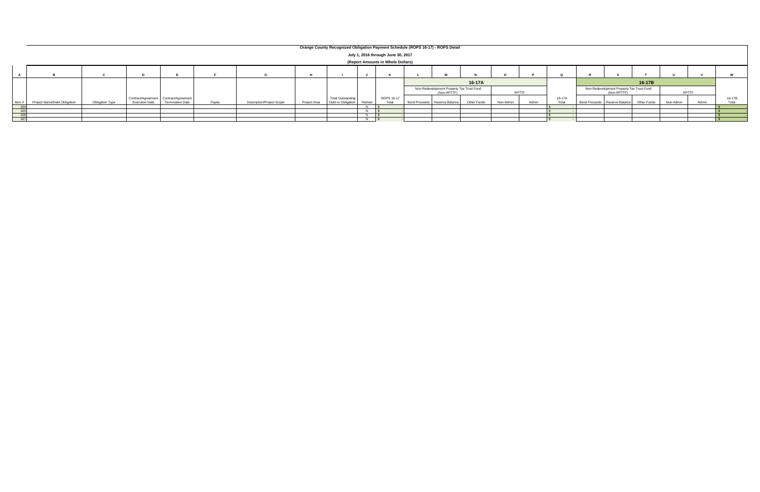|          |                              |                 |                                       |                         |       |                                  |              |                          |         |                                    | Orange County Recognized Obligation Payment Schedule (ROPS 16-17) - ROPS Detail |             |           |              |        |                                                          |             |              |       |        |
|----------|------------------------------|-----------------|---------------------------------------|-------------------------|-------|----------------------------------|--------------|--------------------------|---------|------------------------------------|---------------------------------------------------------------------------------|-------------|-----------|--------------|--------|----------------------------------------------------------|-------------|--------------|-------|--------|
|          |                              |                 |                                       |                         |       |                                  |              |                          |         | July 1, 2016 through June 30, 2017 |                                                                                 |             |           |              |        |                                                          |             |              |       |        |
|          |                              |                 |                                       |                         |       |                                  |              |                          |         | (Report Amounts in Whole Dollars)  |                                                                                 |             |           |              |        |                                                          |             |              |       |        |
|          |                              |                 |                                       |                         |       |                                  |              |                          |         |                                    |                                                                                 |             |           |              |        |                                                          |             |              |       |        |
|          |                              |                 |                                       |                         |       |                                  |              |                          |         |                                    |                                                                                 | 16-17A      |           |              |        |                                                          | 16-17B      |              |       |        |
|          |                              |                 |                                       |                         |       |                                  |              |                          |         |                                    | Non-Redevelopment Property Tax Trust Fund<br>(Non-RPTTF)                        |             |           | <b>RPTTF</b> |        | Non-Redevelopment Property Tax Trust Fund<br>(Non-RPTTF) |             | <b>RPTTI</b> |       |        |
|          |                              |                 | Contract/Agreement Contract/Agreement |                         |       |                                  |              | <b>Total Outstanding</b> |         | ROPS 16-17                         |                                                                                 |             |           |              | 16-17A |                                                          |             |              |       | 16-17E |
| Item $#$ | Project Name/Debt Obligation | Obligation Type | <b>Execution Date</b>                 | <b>Termination Date</b> | Payee | <b>Description/Project Scope</b> | Project Area | Debt or Obligation       | Retired | Total                              | Bond Proceeds Reserve Balance                                                   | Other Funds | Non-Admin | Admin        | Total  | Bond Proceeds Reserve Balance                            | Other Funds | Non-Admin    | Admin |        |
|          |                              |                 |                                       |                         |       |                                  |              |                          |         |                                    |                                                                                 |             |           |              |        |                                                          |             |              |       |        |
|          |                              |                 |                                       |                         |       |                                  |              |                          |         |                                    |                                                                                 |             |           |              |        |                                                          |             |              |       |        |
|          |                              |                 |                                       |                         |       |                                  |              |                          |         |                                    |                                                                                 |             |           |              |        |                                                          |             |              |       |        |

## **Orange County Recognized Obligation Payment Schedule (ROPS 16-17) - ROPS Detail**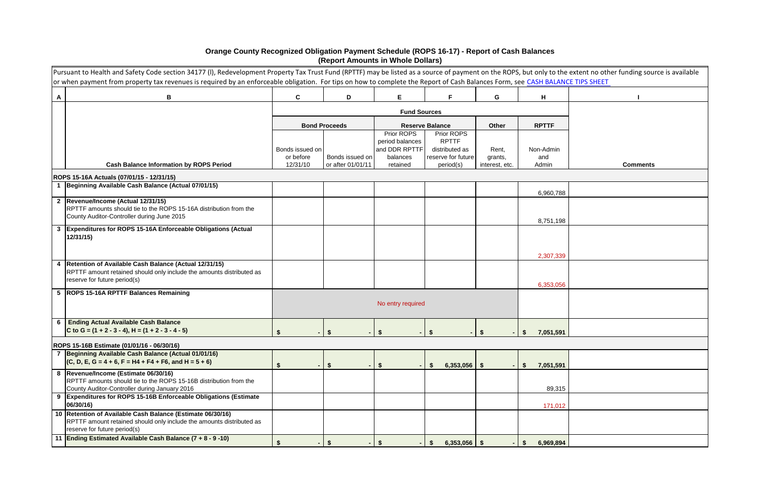|                 | Pursuant to Health and Safety Code section 34177 (I), Redevelopment Property Tax Trust Fund (RPTTF) may be listed as a source of payment on the ROPS, but only to the extent no other funding source is available<br>or when payment from property tax revenues is required by an enforceable obligation. For tips on how to complete the Report of Cash Balances Form, see CASH BALANCE TIPS SHEET |                              |                                      |                               |                                      |                           |                          |                 |
|-----------------|-----------------------------------------------------------------------------------------------------------------------------------------------------------------------------------------------------------------------------------------------------------------------------------------------------------------------------------------------------------------------------------------------------|------------------------------|--------------------------------------|-------------------------------|--------------------------------------|---------------------------|--------------------------|-----------------|
| A               | B                                                                                                                                                                                                                                                                                                                                                                                                   | $\mathbf{C}$                 | D                                    | E.                            | F.                                   | G                         | H                        |                 |
|                 |                                                                                                                                                                                                                                                                                                                                                                                                     |                              |                                      | <b>Fund Sources</b>           |                                      |                           |                          |                 |
|                 |                                                                                                                                                                                                                                                                                                                                                                                                     |                              | <b>Bond Proceeds</b>                 |                               | <b>Reserve Balance</b>               | Other                     | <b>RPTTF</b>             |                 |
|                 |                                                                                                                                                                                                                                                                                                                                                                                                     |                              |                                      | Prior ROPS<br>period balances | Prior ROPS<br><b>RPTTF</b>           |                           |                          |                 |
|                 |                                                                                                                                                                                                                                                                                                                                                                                                     | Bonds issued on<br>or before |                                      | and DDR RPTTF<br>balances     | distributed as<br>reserve for future | Rent,                     | Non-Admin                |                 |
|                 | <b>Cash Balance Information by ROPS Period</b>                                                                                                                                                                                                                                                                                                                                                      | 12/31/10                     | Bonds issued on<br>or after 01/01/11 | retained                      | period(s)                            | grants,<br>interest, etc. | and<br>Admin             | <b>Comments</b> |
|                 | ROPS 15-16A Actuals (07/01/15 - 12/31/15)                                                                                                                                                                                                                                                                                                                                                           |                              |                                      |                               |                                      |                           |                          |                 |
|                 | 1 Beginning Available Cash Balance (Actual 07/01/15)                                                                                                                                                                                                                                                                                                                                                |                              |                                      |                               |                                      |                           | 6,960,788                |                 |
|                 | 2 Revenue/Income (Actual 12/31/15)<br>RPTTF amounts should tie to the ROPS 15-16A distribution from the<br>County Auditor-Controller during June 2015                                                                                                                                                                                                                                               |                              |                                      |                               |                                      |                           | 8,751,198                |                 |
|                 | 3 Expenditures for ROPS 15-16A Enforceable Obligations (Actual<br>12/31/15                                                                                                                                                                                                                                                                                                                          |                              |                                      |                               |                                      |                           |                          |                 |
|                 | 4   Retention of Available Cash Balance (Actual 12/31/15)                                                                                                                                                                                                                                                                                                                                           |                              |                                      |                               |                                      |                           | 2,307,339                |                 |
|                 | RPTTF amount retained should only include the amounts distributed as<br>reserve for future period(s)                                                                                                                                                                                                                                                                                                |                              |                                      |                               |                                      |                           | 6,353,056                |                 |
|                 | 5   ROPS 15-16A RPTTF Balances Remaining                                                                                                                                                                                                                                                                                                                                                            |                              |                                      |                               |                                      |                           |                          |                 |
|                 |                                                                                                                                                                                                                                                                                                                                                                                                     |                              |                                      | No entry required             |                                      |                           |                          |                 |
| $6\overline{6}$ | <b>Ending Actual Available Cash Balance</b><br>C to G = $(1 + 2 - 3 - 4)$ , H = $(1 + 2 - 3 - 4 - 5)$                                                                                                                                                                                                                                                                                               |                              |                                      |                               |                                      |                           | 7,051,591                |                 |
|                 | ROPS 15-16B Estimate (01/01/16 - 06/30/16)                                                                                                                                                                                                                                                                                                                                                          |                              |                                      |                               |                                      |                           |                          |                 |
|                 | 7 Beginning Available Cash Balance (Actual 01/01/16)<br>$(C, D, E, G = 4 + 6, F = H4 + F4 + F6, and H = 5 + 6)$                                                                                                                                                                                                                                                                                     |                              | \$                                   | $\sqrt{3}$                    | $6,353,056$ \$<br><b>S</b>           |                           | 7,051,591<br><b>S</b>    |                 |
|                 | 8  Revenue/Income (Estimate 06/30/16)<br>RPTTF amounts should tie to the ROPS 15-16B distribution from the<br>County Auditor-Controller during January 2016                                                                                                                                                                                                                                         |                              |                                      |                               |                                      |                           | 89,315                   |                 |
|                 | 9 Expenditures for ROPS 15-16B Enforceable Obligations (Estimate<br>06/30/16)                                                                                                                                                                                                                                                                                                                       |                              |                                      |                               |                                      |                           | 171,012                  |                 |
|                 | 10 Retention of Available Cash Balance (Estimate 06/30/16)<br>RPTTF amount retained should only include the amounts distributed as<br>reserve for future period(s)                                                                                                                                                                                                                                  |                              |                                      |                               |                                      |                           |                          |                 |
|                 | 11 Ending Estimated Available Cash Balance (7 + 8 - 9 -10)                                                                                                                                                                                                                                                                                                                                          | $\mathbf{\hat{s}}$           | \$                                   | \$                            | $6,353,056$ \$<br>\$                 |                           | 6,969,894<br>$$^{\circ}$ |                 |

## **Orange County Recognized Obligation Payment Schedule (ROPS 16-17) - Report of Cash Balances (Report Amounts in Whole Dollars)**